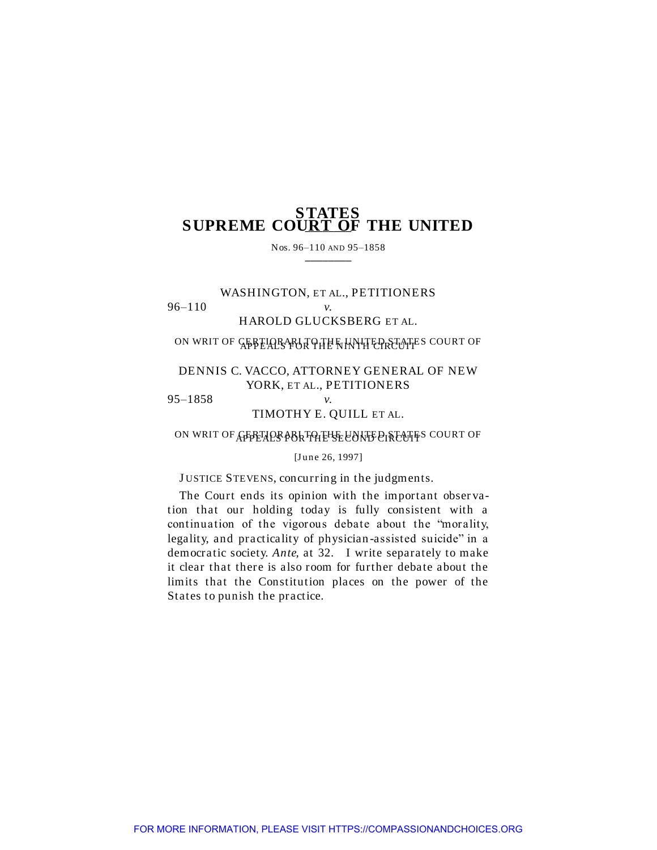# SUPREME COURT OF THE UNITED **STATES**

Nos. 96–110 AND 95–1858 ────────

WASHINGTON, ET AL., PETITIONERS 96–110 *v.* HAROLD GLUCKSBERG ET AL.

ON WRIT OF GEBEIORARI TO THE WINTED STATES COURT OF

# DENNIS C. VACCO, ATTORNEY GENERAL OF NEW YORK, ET AL., PETITIONERS

95–1858 *v.*

# TIMOTHY E. QUILL ET AL.

ON WRIT OF GEBELDRABK TO THE UNITED STATES COURT OF

[June 26, 1997]

J USTICE STEVENS, concurring in the judgments.

The Court ends its opinion with the important obser vation that our holding today is fully consistent with a continuation of the vigorous debate about the "morality, legality, and practicality of physician -assisted suicide" in a democratic society. *Ante,* at 32. I write separately to make it clear that there is also room for further debate about the limits that the Constitution places on the power of the States to punish the practice.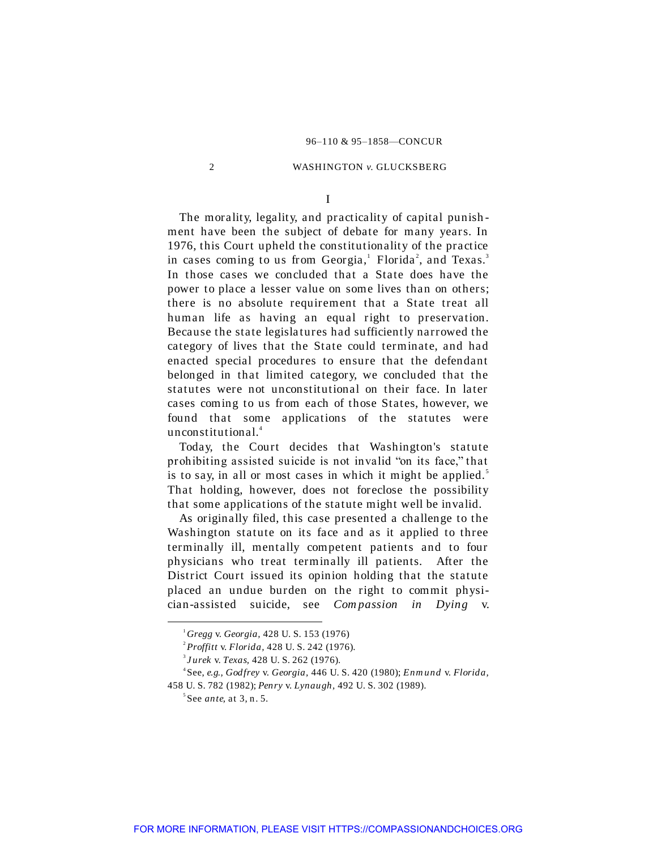I

The morality, legality, and practicality of capital punish ment have been the subject of debate for many years. In 1976, this Court upheld the constitutionality of the practice in cases coming to us from Georgia,  $<sup>1</sup>$  Florida<sup>2</sup>, and Texas.<sup>3</sup></sup> In those cases we concluded that a State does have the power to place a lesser value on some lives than on others; there is no absolute requirement that a State treat all human life as having an equal right to preservation. Because the state legisla tures had sufficiently narrowed the category of lives that the State could terminate, and had enacted special procedures to ensure that the defendant belonged in that limited category, we concluded that the statutes were not unconstitutional on their face. In later cases coming to us from each of those States, however, we found that some applications of the statutes were unconstitutional.<sup>4</sup>

Today, the Court decides that Washington's statute prohibiting assisted suicide is not invalid "on its face," that is to say, in all or most cases in which it might be applied.<sup>5</sup> That holding, however, does not foreclose the possibility that some applications of the statute might well be invalid.

As originally filed, this case presented a challenge to the Washington statute on its face and as it applied to three terminally ill, mentally competent patients and to four physicians who treat terminally ill patients. After the District Court issued its opinion holding that the statute placed an undue burden on the right to commit physician-assisted suicide, see *Com passion in Dying* v.

<sup>1</sup>*Gregg* v. *Georgia,* 428 U. S. 153 (1976)

<sup>2</sup> *Proffitt* v. *Florida,* 428 U. S. 242 (1976).

<sup>3</sup> *J urek* v. *Texas,* 428 U. S. 262 (1976).

<sup>4</sup> See, *e.g., Godfrey* v. *Georgia,* 446 U. S. 420 (1980); *Enm und* v. *Florida,* 458 U. S. 782 (1982); *Penry* v. *Lynaugh,* 492 U. S. 302 (1989).

 $5$ See *ante*, at 3, n. 5.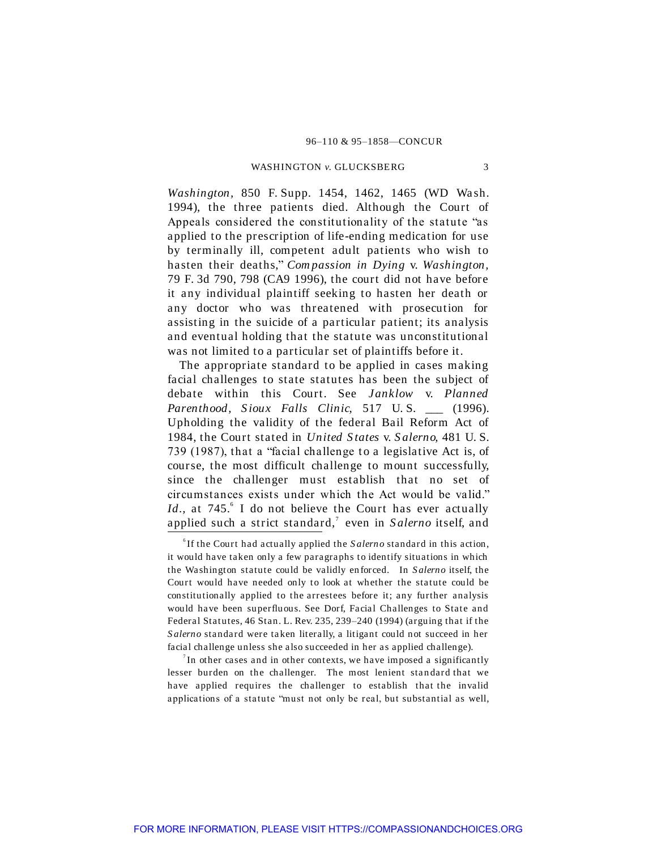*Washington, 850 F. Supp. 1454, 1462, 1465 (WD Wash.* 1994), the three patients died. Although the Court of Appeals considered the constitutionality of the statute "as applied to the prescription of life-ending medication for use by terminally ill, competent adult patients who wish to hasten their deaths," *Com passion in Dying* v. *Washington,* 79 F. 3d 790, 798 (CA9 1996), the court did not have before it any individual plaintiff seeking to hasten her death or any doctor who was threatened with prosecution for assisting in the suicide of a particular patient; its analysis and eventual holding that the statute was unconstitutional was not limited to a particular set of plaintiffs before it.

The appropriate standard to be applied in cases making facial challenges to state statutes has been the subject of debate within this Court. See *Janklow* v. *Planned Parenthood, S ioux Falls Clinic,* 517 U. S. \_\_\_ (1996). Upholding the validity of the federal Bail Reform Act of 1984, the Court stated in *United S tates* v. *S alerno,* 481 U. S. 739 (1987), that a "facial challenge to a legislative Act is, of course, the most difficult challenge to mount successfully, since the challenger must establish that no set of circumstances exists under which the Act would be valid." Id., at 745.<sup>6</sup> I do not believe the Court has ever actually applied such a strict standard,<sup>7</sup> even in *Salerno* itself, and

In other cases and in other contexts, we have imposed a significantly lesser burden on the challenger. The most lenient stan dard that we have applied requires the challenger to establish that the invalid applications of a statute "must not only be real, but substantial as well,

<sup>6</sup> If the Court had actually applied the *S alerno* standard in this action, it would have taken only a few paragraphs to identify situations in which the Washington statute could be validly en forced. In *S alerno* itself, the Court would have needed only to look at whether the statute could be constitutionally applied to the arrestees before it; any further analysis would have been superfluous. See Dorf, Facial Challenges to State and Federal Statutes, 46 Stan. L. Rev. 235, 239–240 (1994) (arguing that if the *S alerno* standard were taken literally, a litigant could not succeed in her facial challenge unless she also succeeded in her as applied challenge).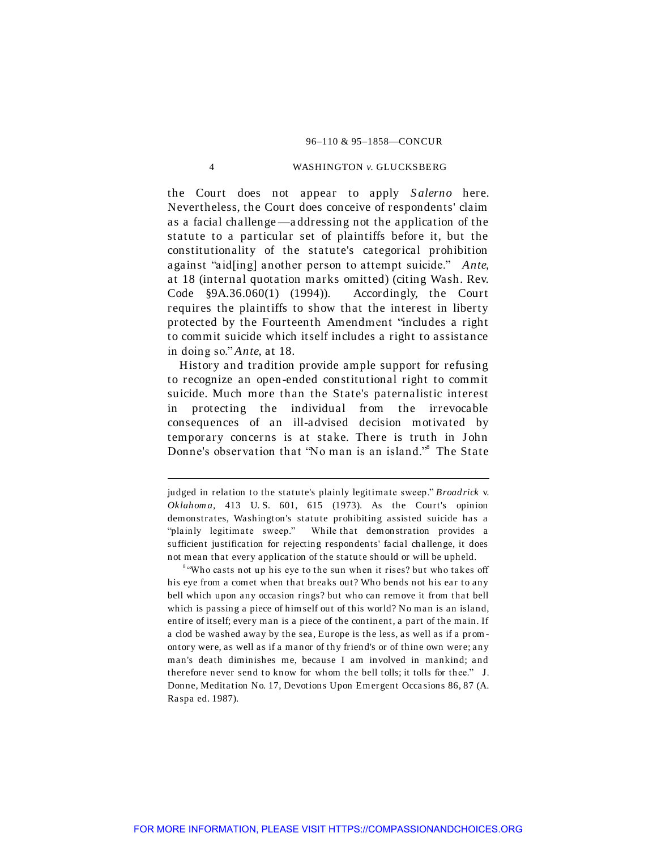the Court does not appear to apply *S alerno* here. Nevertheless, the Court does conceive of respondents' claim as a facial challenge —a ddressing not the application of the statute to a particular set of plaintiffs before it, but the constitutionality of the statute's categorical prohibition against "aid[ing] another person to attempt suicide." *Ante,* at 18 (internal quotation marks omitted) (citing Wash. Rev. Code §9A.36.060(1) (1994)). Accordingly, the Court requires the plaintiffs to show that the interest in liberty protected by the Fourteenth Amendment "includes a right to commit suicide which itself includes a right to assistance in doing so." *Ante,* at 18.

History and tradition provide ample support for refusing to recognize an open-ended constitutional right to commit suicide. Much more than the State's paternalistic interest in protecting the individual from the irrevocable consequences of an ill-advised decision motivated by temporary concerns is at stake. There is truth in John Donne's observation that "No man is an island."<sup>8</sup> The State

<sup>8</sup> Who casts not up his eye to the sun when it rises? but who takes off his eye from a comet when that breaks out? Who bends not his ear to any bell which upon any occasion rings? but who can remove it from that bell which is passing a piece of himself out of this world? No man is an island, entire of itself; every man is a piece of the continent, a part of the main. If a clod be washed away by the sea, Europe is the less, as well as if a promontory were, as well as if a manor of thy friend's or of thine own were; any man's death diminishes me, because I am involved in mankind; and therefore never send to know for whom the bell tolls; it tolls for thee." J. Donne, Meditation No. 17, Devotions Upon Emergent Occa sions 86, 87 (A. Raspa ed. 1987).

-

judged in relation to the statute's plainly legitimate sweep." *Broadrick* v. *Oklahom a,* 413 U. S. 601, 615 (1973). As the Court's opinion demonstrates, Washington's statute prohibiting assisted suicide has a "plainly legitimate sweep." While that demonstration provides a sufficient justification for rejecting respondents' facial challenge, it does not mean that every application of the statute should or will be upheld.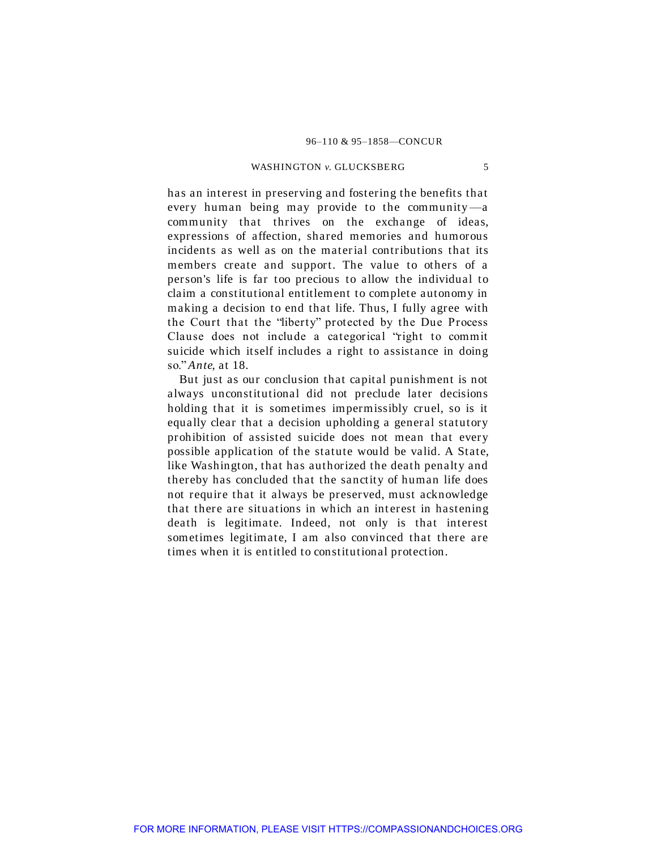#### 96–110 & 95–1858—CONCUR

## WASHINGTON *v.* GLUCKSBERG 5

has an interest in preserving and fostering the benefits that every human being may provide to the community —a community that thrives on the exchange of ideas, expressions of affection, shared memories and humorous incidents as well as on the material contributions that its members create and support. The value to others of a person's life is far too precious to allow the individual to claim a constitutional entitlement to complete autonomy in making a decision to end that life. Thus, I fully agree with the Court that the "liberty" protected by the Due Process Clause does not include a categorical "right to commit suicide which itself includes a right to assistance in doing so." *Ante,* at 18.

But just as our conclusion that capital punishment is not always unconstitutional did not preclude later decisions holding that it is sometimes impermissibly cruel, so is it equally clear that a decision upholding a general statutory prohibition of assisted suicide does not mean that every possible application of the statute would be valid. A State, like Washington, that has authorized the death penalty and thereby has concluded that the sanctity of human life does not require that it always be preserved, must acknowledge that there are situations in which an interest in hastening death is legitimate. Indeed, not only is that interest sometimes legitimate, I am also convinced that there are times when it is entitled to constitutional protection.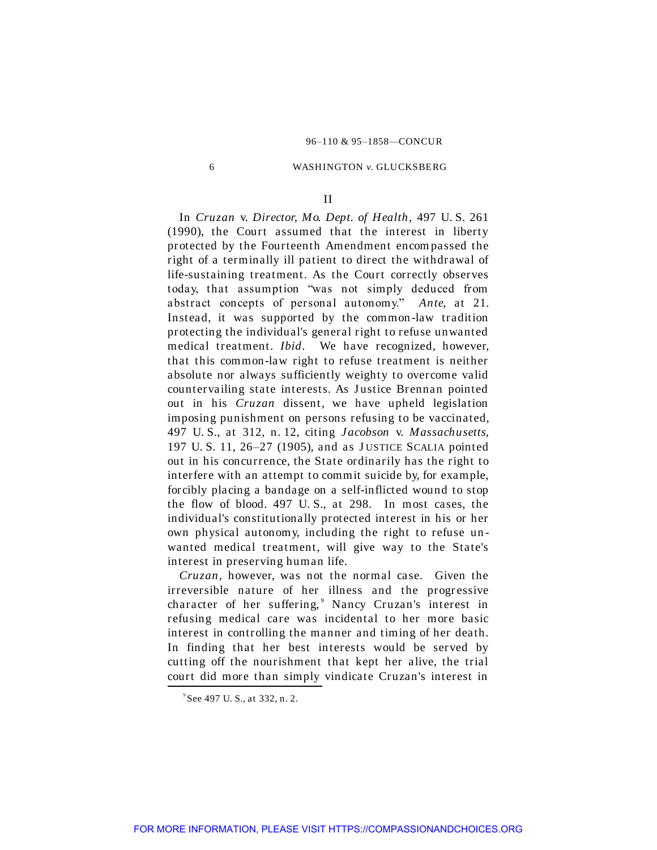# II

In *Cruzan* v. *Director, Mo. Dept. of Health,* 497 U. S. 261 (1990), the Court assumed that the interest in liberty protected by the Fourteenth Amendment encompassed the right of a terminally ill patient to direct the withdrawal of life-sustaining treatment. As the Court correctly observes today, that assumption "was not simply deduced from abstract concepts of personal autonomy." *Ante,* at 21. Instead, it was supported by the common -law tradition protecting the individual's general right to refuse unwanted medical treatment. *Ibid.* We have recognized, however, that this common-law right to refuse treatment is neither absolute nor always sufficiently weighty to overcome valid countervailing state interests. As Justice Brennan pointed out in his *Cruzan* dissent, we have upheld legislation imposing punishment on persons refusing to be vaccinated, 497 U. S., at 312, n. 12, citing *Jacobson* v. *Massachusetts,* 197 U. S. 11, 26–27 (1905), and as J USTICE SCALIA pointed out in his concurrence, the State ordinarily has the right to interfere with an attempt to commit suicide by, for example, forcibly placing a bandage on a self-inflicted wound to stop the flow of blood. 497 U. S., at 298. In most cases, the individual's constitutionally protected interest in his or her own physical autonomy, including the right to refuse un wanted medical treatment, will give way to the State's interest in preserving human life.

*Cruzan,* however, was not the normal case. Given the irreversible nature of her illness and the progressive character of her suffering,<sup>9</sup> Nancy Cruzan's interest in refusing medical care was incidental to her more basic interest in controlling the manner and timing of her death. In finding that her best interests would be served by cutting off the nourishment that kept her alive, the trial court did more than simply vindicate Cruzan's interest in  $\overline{a}$ 

<sup>9</sup> See 497 U. S., at 332, n. 2.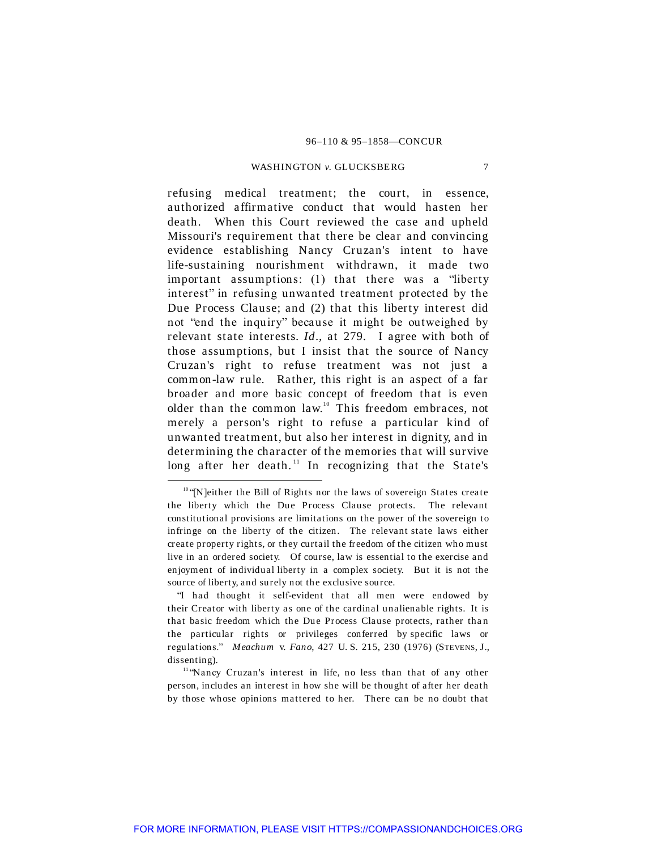#### 96–110 & 95–1858—CONCUR

## WASHINGTON *v.* GLUCKSBERG 7

refusing medical treatment; the court, in essence, authorized affirmative conduct that would hasten her death. When this Court reviewed the case and upheld Missouri's requirement that there be clear and convincing evidence establishing Nancy Cruzan's intent to have life-sustaining nourishment withdrawn, it made two important assumptions: (1) that there was a "liberty interest" in refusing unwanted treatment protected by the Due Process Clause; and (2) that this liberty interest did not "end the inquiry" because it might be outweighed by relevant state interests. *Id.,* at 279. I agree with both of those assumptions, but I insist that the source of Nancy Cruzan's right to refuse treatment was not just a common-law rule. Rather, this right is an aspect of a far broader and more basic concept of freedom that is even older than the common law.<sup>10</sup> This freedom embraces, not merely a person's right to refuse a particular kind of unwanted treatment, but also her interest in dignity, and in determining the character of the memories that will survive long after her death.<sup>11</sup> In recognizing that the State's

<sup>&</sup>lt;sup>10</sup> '[N]either the Bill of Rights nor the laws of sovereign States create the liberty which the Due Process Clause protects. The relevant constitutional provisions are limitations on the power of the sovereign to infringe on the liberty of the citizen. The relevant state laws either create property rights, or they curtail the freedom of the citizen who must live in an ordered society. Of course, law is essential to the exercise and enjoyment of individual liberty in a complex society. But it is not the source of liberty, and surely not the exclusive source.

<sup>&</sup>quot;I had thought it self-evident that all men were endowed by their Creator with liberty as one of the cardinal unalienable rights. It is that basic freedom which the Due Process Clause protects, rather than the particular rights or privileges conferred by specific laws or regulations." *Meachum* v. *Fano*, 427 U. S. 215, 230 (1976) (STEVENS, J., dissenting).

<sup>&</sup>lt;sup>11</sup> 'Nancy Cruzan's interest in life, no less than that of any other person, includes an interest in how she will be thought of after her death by those whose opinions mattered to her. There can be no doubt that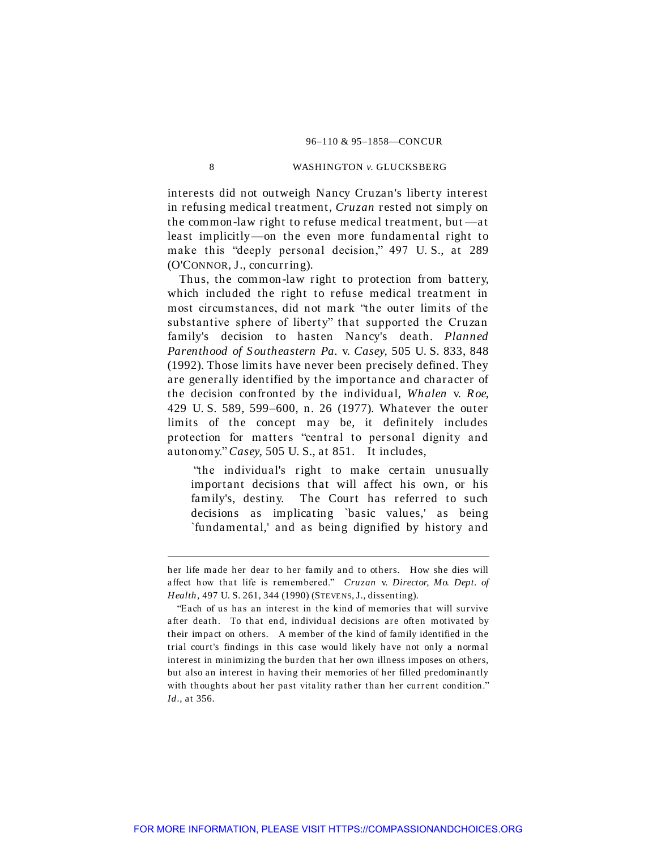interests did not outweigh Nancy Cruzan's liberty interest in refusing medical treatment, *Cruzan* rested not simply on the common-law right to refuse medical treatment, but —at least implicitly—on the even more fundamental right to make this "deeply personal decision," 497 U. S., at 289 (O'CONNOR, J., concurring).

Thus, the common-law right to protection from battery, which included the right to refuse medical treatment in most circumstances, did not mark "the outer limits of the substantive sphere of liberty" that supported the Cruzan family's decision to hasten Nancy's death. *Planned Parenthood of S outheastern Pa.* v. *Casey,* 505 U. S. 833, 848 (1992). Those limits have never been precisely defined. They are generally identified by the importance and character of the decision confronted by the individual, *Whalen* v. *Roe,* 429 U. S. 589, 599–600, n. 26 (1977). Whatever the outer limits of the concept may be, it definitely includes protection for matters "central to personal dignity and autonomy." *Casey,* 505 U. S., at 851. It includes,

"the individual's right to make certain unusually important decisions that will affect his own, or his family's, destiny. The Court has referred to such decisions as implicating `basic values,' as being `fundamental,' and as being dignified by history and

-

her life made her dear to her family and to others. How she dies will affect how that life is remembered." *Cruzan* v. *Director, Mo. Dept. of Health,* 497 U. S. 261, 344 (1990) (STEVENS,J., dissenting).

<sup>&</sup>quot;Each of us has an interest in the kind of memories that will survive after death. To that end, individual decisions are often motivated by their impact on others. A member of the kind of family identified in the trial court's findings in this case would likely have not only a normal interest in minimizing the burden that her own illness imposes on others, but also an interest in having their memories of her filled predominantly with thoughts about her past vitality rather than her current condition." *Id.,* at 356.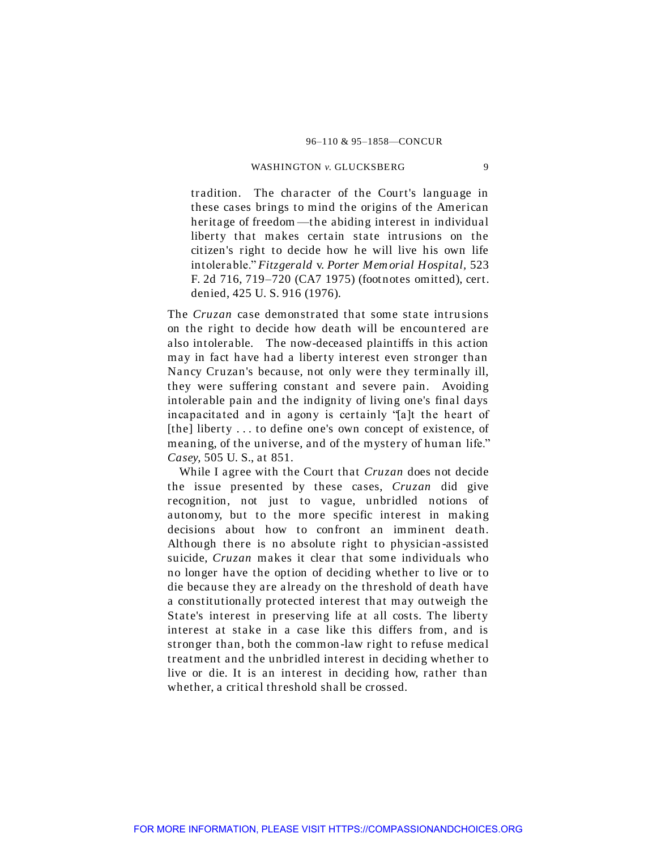tradition. The character of the Court's language in these cases brings to mind the origins of the American heritage of freedom—the abiding interest in individual liberty that makes certain state intrusions on the citizen's right to decide how he will live his own life intolerable." *Fitzgerald* v. *Porter Mem orial Hospital,* 523 F. 2d 716, 719–720 (CA7 1975) (footnotes omitted), cert. denied, 425 U. S. 916 (1976).

The *Cruzan* case demonstrated that some state intrusions on the right to decide how death will be encoun tered are also intolerable. The now-deceased plaintiffs in this action may in fact have had a liberty interest even stronger than Nancy Cruzan's because, not only were they terminally ill, they were suffering constant and severe pain. Avoiding intolerable pain and the indignity of living one's final days incapacitated and in agony is certainly "[a]t the heart of [the] liberty ... to define one's own concept of existence, of meaning, of the universe, and of the mystery of human life." *Casey,* 505 U. S., at 851.

While I agree with the Court that *Cruzan* does not decide the issue presented by these cases, *Cruzan* did give recognition, not just to vague, unbridled notions of autonomy, but to the more specific interest in making decisions about how to confront an imminent death. Although there is no absolute right to physician -assisted suicide, *Cruzan* makes it clear that some individuals who no longer have the option of deciding whether to live or to die because they are a lready on the threshold of death have a constitutionally protected interest that may outweigh the State's interest in preserving life at all costs. The liberty interest at stake in a case like this differs from, and is stronger than, both the common -law right to refuse medical treatment and the unbridled interest in deciding whether to live or die. It is an interest in deciding how, rather than whether, a critical threshold shall be crossed.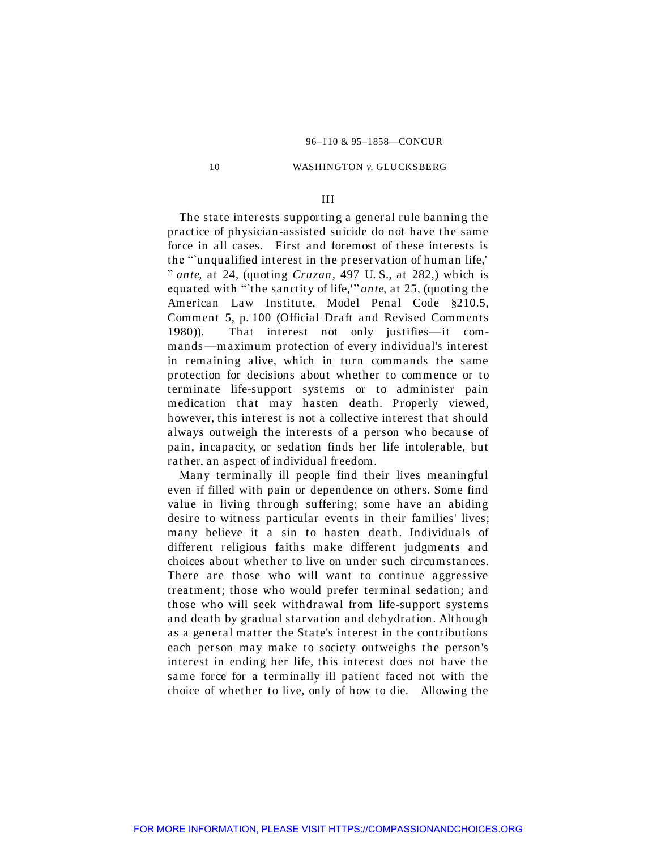# III

The state interests supporting a general rule banning the practice of physician-assisted suicide do not have the same force in all cases. First and foremost of these interests is the "`unqualified interest in the preservation of human life,' " *ante,* at 24, (quoting *Cruzan,* 497 U. S., at 282,) which is equated with "the sanctity of life," ante, at 25, (quoting the American Law Institute, Model Penal Code §210.5, Comment 5, p. 100 (Official Draft and Revised Comments 1980)). That interest not only justifies—it commands —m aximum protection of every individual's interest in remaining alive, which in turn commands the same protection for decisions about whether to commence or to terminate life-support systems or to administer pain medication that may hasten death. Properly viewed, however, this interest is not a collective interest that should always outweigh the interests of a person who because of pain, incapacity, or sedation finds her life intolerable, but rather, an aspect of individual freedom.

Many terminally ill people find their lives meaningful even if filled with pain or dependence on others. Some find value in living through suffering; some have an abiding desire to witness particular events in their families' lives; many believe it a sin to hasten death. Individuals of different religious faiths make different judgments and choices about whether to live on under such circumstances. There are those who will want to continue aggressive treatment; those who would prefer terminal sedation; and those who will seek withdrawal from life-support systems and death by gradual starva tion and dehydration. Although as a general matter the State's interest in the contributions each person may make to society outweighs the person's interest in ending her life, this interest does not have the same force for a terminally ill patient faced not with the choice of whether to live, only of how to die. Allowing the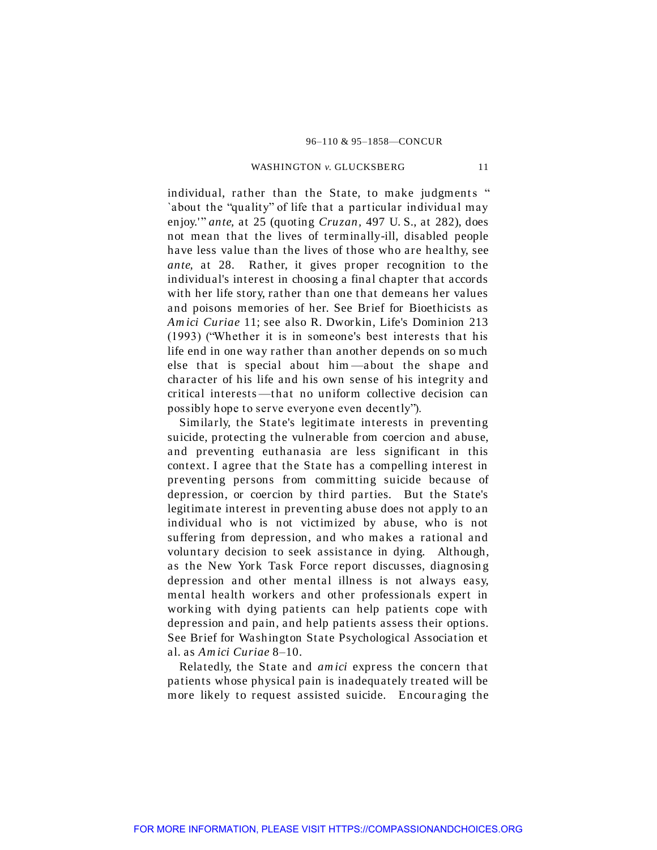individual, rather than the State, to make judgments " `about the "quality" of life that a particular individual may enjoy.'" *ante,* at 25 (quoting *Cruzan,* 497 U. S., at 282), does not mean that the lives of terminally-ill, disabled people have less value than the lives of those who are healthy, see *ante,* at 28. Rather, it gives proper recognition to the individual's interest in choosing a final chapter that accords with her life story, rather than one that demeans her values and poisons memories of her. See Brief for Bioethicists as *Am ici Curiae* 11; see also R. Dworkin, Life's Dominion 213 (1993) ("Whether it is in someone's best interests that his life end in one way rather than another depends on so much else that is special about him —a bout the shape and character of his life and his own sense of his integrity and critical interests—that no uniform collective decision can possibly hope to serve everyone even decently").

Similarly, the State's legitimate interests in preventing suicide, protecting the vulnerable from coercion and abuse, and preventing euthanasia are less significant in this context. I agree that the State has a compelling interest in preventing persons from committing suicide because of depression, or coercion by third parties. But the State's legitimate interest in preventing abuse does not apply to an individual who is not victimized by abuse, who is not suffering from depression, and who makes a rational and voluntary decision to seek assistance in dying. Although, as the New York Task Force report discusses, diagnosing depression and other mental illness is not always easy, mental health workers and other professionals expert in working with dying patients can help patients cope with depression and pain, and help patients assess their options. See Brief for Washington State Psychological Association et al. as *Am ici Curiae* 8–10.

Relatedly, the State and *am ici* express the concern that patients whose physical pain is inadequately treated will be more likely to request assisted suicide. Encour aging the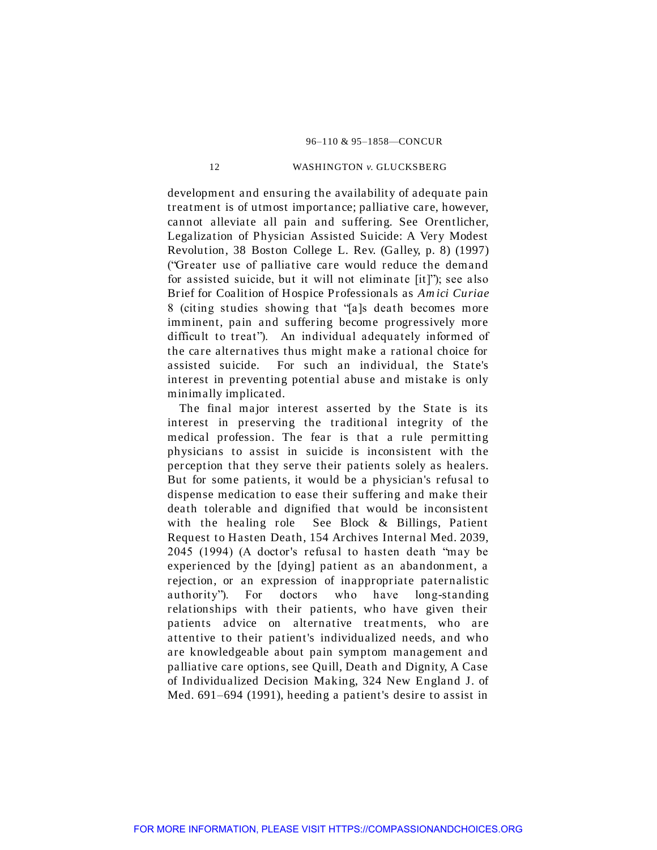development and ensuring the availability of adequate pain treatment is of utmost importance; palliative care, however, cannot alleviate all pain and suffering. See Orentlicher, Legalization of Physician Assisted Suicide: A Very Modest Revolution, 38 Boston College L. Rev. (Galley, p. 8) (1997) ("Greater use of palliative care would reduce the demand for assisted suicide, but it will not eliminate [it]"); see also Brief for Coalition of Hospice Professionals as *Am ici Curiae* 8 (citing studies showing that "[a]s death becomes more imminent, pain and suffering become progressively more difficult to treat"). An individual adequately informed of the care alternatives thus might make a rational choice for assisted suicide. For such an individual, the State's interest in preventing potential abuse and mistake is only minimally implicated.

The final major interest asserted by the State is its interest in preserving the traditional integrity of the medical profession. The fear is that a rule permitting physicians to assist in suicide is inconsistent with the perception that they serve their patients solely as healers. But for some patients, it would be a physician's refusal to dispense medication to ease their suffering and make their death tolerable and dignified that would be inconsistent with the healing role See Block & Billings, Patient Request to Hasten Death, 154 Archives Internal Med. 2039, 2045 (1994) (A doctor's refusal to hasten death "may be experienced by the [dying] patient as an abandonment, a rejection, or an expression of inappropriate paternalistic authority"). For doctors who have long-standing relationships with their patients, who have given their patients advice on alternative treatments, who are attentive to their patient's individualized needs, and who are knowledgeable about pain symptom management and palliative care options, see Quill, Death and Dignity, A Case of Individualized Decision Making, 324 New England J. of Med. 691–694 (1991), heeding a patient's desire to assist in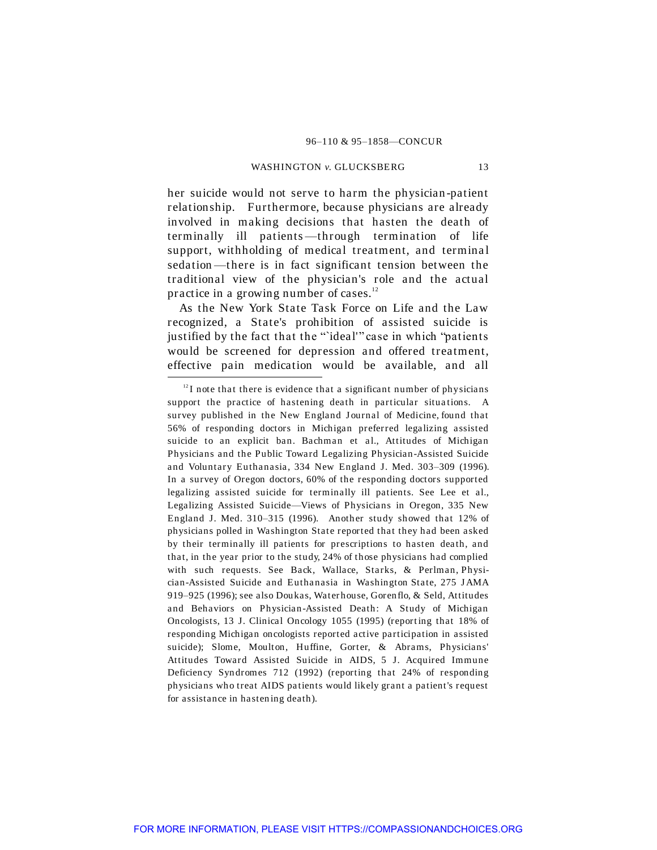her suicide would not serve to harm the physician-patient relationship. Furthermore, because physicians are already involved in making decisions that hasten the death of terminally ill patients —through termination of life support, withholding of medical treatment, and terminal sedation —there is in fact significant tension between the traditional view of the physician's role and the actual practice in a growing number of cases. $12$ 

As the New York State Task Force on Life and the Law recognized, a State's prohibition of assisted suicide is justified by the fact that the "'ideal'" case in which "patients would be screened for depression and offered treatment, effective pain medication would be available, and all  $\overline{a}$ 

 $12$ I note that there is evidence that a significant number of physicians support the practice of hastening death in particular situations. A survey published in the New England Journal of Medicine, found that 56% of responding doctors in Michigan preferred legalizing assisted suicide to an explicit ban. Bachman et al., Attitudes of Michigan Physicians and the Public Toward Legalizing Physician-Assisted Suicide and Voluntary Euthanasia, 334 New England J. Med. 303–309 (1996). In a survey of Oregon doctors, 60% of the responding doctors supported legalizing assisted suicide for terminally ill patients. See Lee et al., Legalizing Assisted Suicide—Views of Physicians in Oregon, 335 New England J. Med. 310–315 (1996). Another study showed that 12% of physicians polled in Washington State reported that they had been asked by their terminally ill patients for prescriptions to hasten death, and that, in the year prior to the study, 24% of those physicians had complied with such requests. See Back, Wallace, Starks, & Perlman, Physician-Assisted Suicide and Euthanasia in Washington State, 275 JAMA 919–925 (1996); see also Doukas, Water house, Gorenflo, & Seld, Attitudes and Behaviors on Physician-Assisted Death: A Study of Michigan Oncologists, 13 J. Clinical Oncology 1055 (1995) (report ing that 18% of responding Michigan oncologists reported active participation in assisted suicide); Slome, Moulton, Huffine, Gorter, & Abrams, Physicians' Attitudes Toward Assisted Suicide in AIDS, 5 J. Acquired Immune Deficiency Syn dromes 712 (1992) (reporting that 24% of responding physicians who treat AIDS pa tients would likely grant a patient's request for assistance in hasten ing death).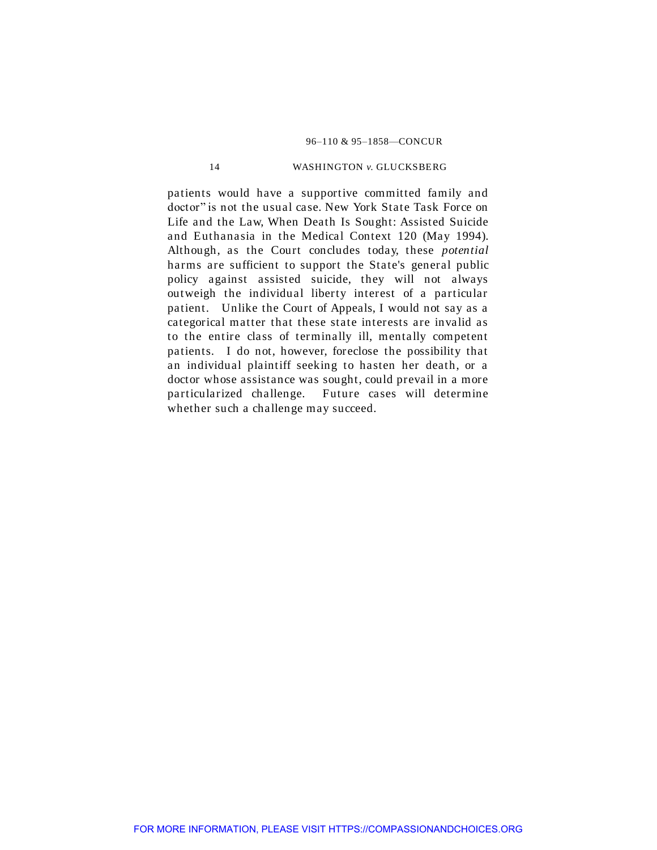patients would have a supportive committed family and doctor" is not the usual case. New York State Task Force on Life and the Law, When Death Is Sought: Assisted Suicide and Euthanasia in the Medical Context 120 (May 1994). Although, as the Court concludes today, these *potential* harms are sufficient to support the State's general public policy against assisted suicide, they will not always outweigh the individual liberty interest of a particular patient. Unlike the Court of Appeals, I would not say as a categorical matter that these state interests are invalid as to the entire class of terminally ill, mentally competent patients. I do not, however, foreclose the possibility that an individual plaintiff seeking to hasten her death, or a doctor whose assistance was sought, could prevail in a more particularized challenge. Future cases will determine whether such a challenge may succeed.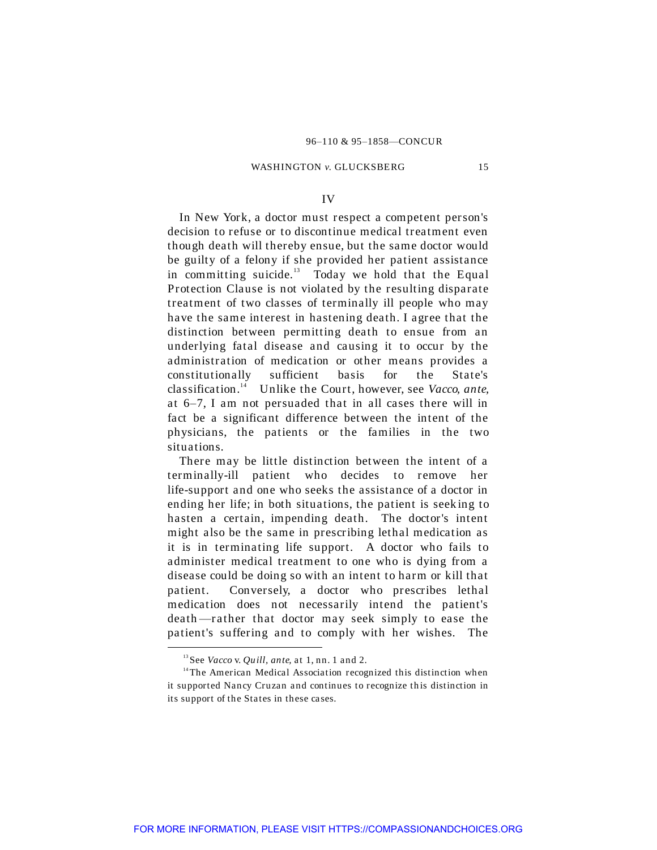# IV

In New York, a doctor must respect a competent person's decision to refuse or to discontinue medical treatment even though death will thereby ensue, but the same doctor would be guilty of a felony if she provided her patient assistance in committing suicide.<sup>13</sup> Today we hold that the Equal Protection Clause is not violated by the resulting disparate treatment of two classes of terminally ill people who may have the same interest in hastening death. I agree that the distinction between permitting death to ensue from an underlying fatal disease and causing it to occur by the administration of medication or other means provides a constitutionally sufficient basis for the State's classification.<sup>14</sup> Unlike the Court, however, see *Vacco, ante,* at 6–7, I am not persuaded that in all cases there will in fact be a significant difference between the intent of the physicians, the patients or the families in the two situations.

There may be little distinction between the intent of a terminally-ill patient who decides to remove her life-support and one who seeks the assistance of a doctor in ending her life; in both situations, the patient is seek ing to hasten a certain, impending death. The doctor's intent might also be the same in prescribing lethal medication as it is in terminating life support. A doctor who fails to administer medical treatment to one who is dying from a disease could be doing so with an intent to harm or kill that patient. Conversely, a doctor who prescribes lethal medication does not necessarily intend the patient's death —rather that doctor may seek simply to ease the patient's suffering and to comply with her wishes. The

<sup>13</sup>See *Vacco* v. *Quill, ante,* at 1, nn. 1 and 2.

<sup>&</sup>lt;sup>14</sup>The American Medical Association recognized this distinction when it supported Nancy Cruzan and continues to recognize this distinction in its support of the States in these cases.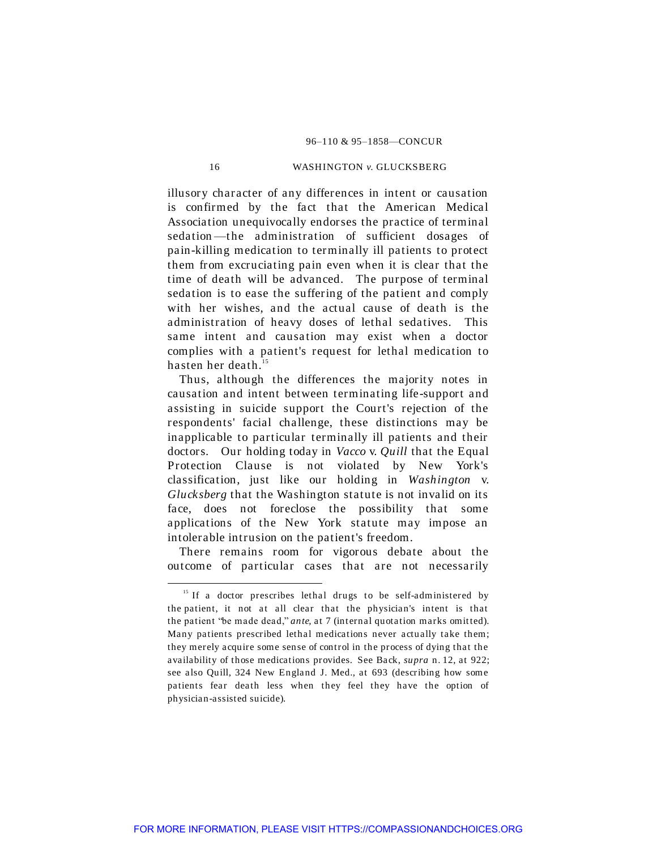illusory character of any differences in intent or causation is confirmed by the fact that the American Medical Association unequivocally endorses the practice of terminal sedation —the administration of sufficient dosages of pain-killing medication to terminally ill patients to protect them from excruciating pain even when it is clear that the time of death will be advanced. The purpose of terminal sedation is to ease the suffering of the patient and comply with her wishes, and the actual cause of death is the administration of heavy doses of lethal sedatives. This same intent and causation may exist when a doctor complies with a patient's request for lethal medication to hasten her death.<sup>15</sup>

Thus, although the differences the majority notes in causation and intent between terminating life-support and assisting in suicide support the Court's rejection of the respondents' facial challenge, these distinctions may be inapplicable to particular terminally ill patients and their doctors. Our holding today in *Vacco* v. *Quill* that the Equal Protection Clause is not violated by New York's classification, just like our holding in *Washington* v. *Glucksberg* that the Washington statute is not invalid on its face, does not foreclose the possibility that some applications of the New York statute may impose an intolerable intrusion on the patient's freedom.

There remains room for vigorous debate about the outcome of particular cases that are not necessarily

 $^{15}$  If a doctor prescribes lethal drugs to be self-administered by the patient, it not at all clear that the physician's intent is that the patient "be made dead," *ante*, at 7 (internal quotation marks omitted). Many patients prescribed lethal medications never actually take them; they merely acquire some sense of control in the process of dying that the availability of those medications provides. See Back, *supra* n. 12, at 922; see also Quill, 324 New England J. Med., at 693 (describing how some patients fear death less when they feel they have the option of physician-assisted suicide).